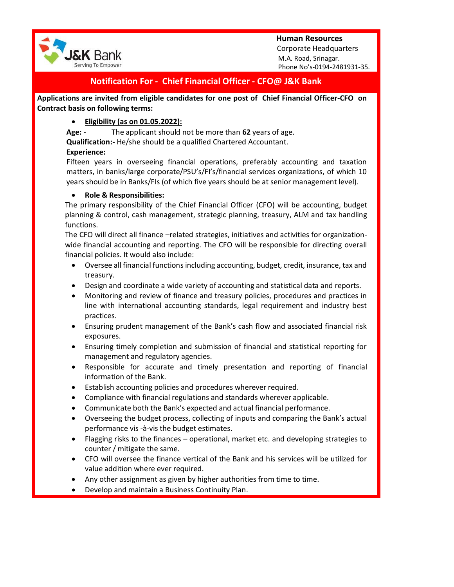



 Corporate Headquarters M.A. Road, Srinagar. Phone No's-0194-2481931-35.

# **Notification For - Chief Financial Officer - CFO@ J&K Bank**

**Applications are invited from eligible candidates for one post of Chief Financial Officer-CFO on Contract basis on following terms:**

# **Eligibility (as on 01.05.2022):**

**Age:** - The applicant should not be more than **62** years of age.

**Qualification:-** He/she should be a qualified Chartered Accountant.

## **Experience:**

Fifteen years in overseeing financial operations, preferably accounting and taxation matters, in banks/large corporate/PSU's/FI's/financial services organizations, of which 10 years should be in Banks/FIs (of which five years should be at senior management level).

## **Role & Responsibilities:**

The primary responsibility of the Chief Financial Officer (CFO) will be accounting, budget planning & control, cash management, strategic planning, treasury, ALM and tax handling functions.

The CFO will direct all finance –related strategies, initiatives and activities for organizationwide financial accounting and reporting. The CFO will be responsible for directing overall financial policies. It would also include:

- Oversee all financial functions including accounting, budget, credit, insurance, tax and treasury.
- Design and coordinate a wide variety of accounting and statistical data and reports.
- Monitoring and review of finance and treasury policies, procedures and practices in line with international accounting standards, legal requirement and industry best practices.
- Ensuring prudent management of the Bank's cash flow and associated financial risk exposures.
- Ensuring timely completion and submission of financial and statistical reporting for management and regulatory agencies.
- Responsible for accurate and timely presentation and reporting of financial information of the Bank.
- Establish accounting policies and procedures wherever required.
- Compliance with financial regulations and standards wherever applicable.
- Communicate both the Bank's expected and actual financial performance.
- Overseeing the budget process, collecting of inputs and comparing the Bank's actual performance vis -à-vis the budget estimates.
- Flagging risks to the finances operational, market etc. and developing strategies to counter / mitigate the same.
- CFO will oversee the finance vertical of the Bank and his services will be utilized for value addition where ever required.
- Any other assignment as given by higher authorities from time to time.
- Develop and maintain a Business Continuity Plan.